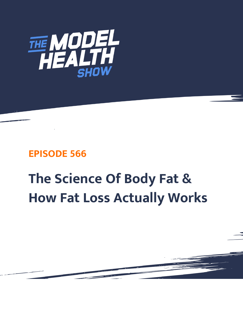

# **EPISODE 566**

# **The Science Of Body Fat & How Fat Loss Actually Works**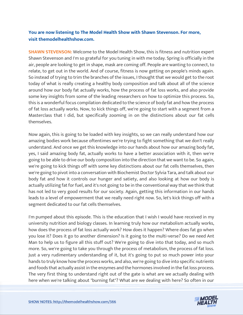# **You are now listening to The Model Health Show with Shawn Stevenson. For more, visit themodelhealthshow.com.**

**SHAWN STEVENSON:** Welcome to the Model Health Show, this is fitness and nutrition expert Shawn Stevenson and I'm so grateful for you tuning in with me today. Spring is officially in the air, people are looking to get in shape, mask are coming off. People are wanting to connect, to relate, to get out in the world. And of course, fitness is now getting on people's minds again. So instead of trying to trim the branches of the issues, I thought that we would get to the root today of what is really creating a healthy body composition and talk about all of the science around how our body fat actually works, how the process of fat loss works, and also provide some key insights from some of the leading researchers on how to optimize this process. So, this is a wonderful focus compilation dedicated to the science of body fat and how the process of fat loss actually works. Now, to kick things off, we're going to start with a segment from a Masterclass that I did, but specifically zooming in on the distinctions about our fat cells themselves.

Now again, this is going to be loaded with key insights, so we can really understand how our amazing bodies work because oftentimes we're trying to fight something that we don't really understand. And once we get this knowledge into our hands about how our amazing body fat, yes, I said amazing body fat, actually works to have a better association with it, then we're going to be able to drive our body composition into the direction that we want to be. So again, we're going to kick things off with some key distinctions about our fat cells themselves, then we're going to pivot into a conversation with Biochemist Doctor Sylvia Tara, and talk about our body fat and how it controls our hunger and satiety, and also looking at how our body is actually utilizing fat for fuel, and it's not going to be in the conventional way that we think that has not led to very good results for our society. Again, getting this information in our hands leads to a level of empowerment that we really need right now. So, let's kick things off with a segment dedicated to our fat cells themselves.

I'm pumped about this episode. This is the education that I wish I would have received in my university nutrition and biology classes. In learning truly how our metabolism actually works, how does the process of fat loss actually work? How does it happen? Where does fat go when you lose it? Does it go to another dimension? Is it going to the multi-verse? Do we need Ant Man to help us to figure all this stuff out? We're going to dive into that today, and so much more. So, we're going to take you through the process of metabolism, the process of fat loss. Just a very rudimentary understanding of it, but it's going to put so much power into your hands to truly know how the process works, and also, we're going to dive into specific nutrients and foods that actually assist in the enzymes and the hormones involved in the fat loss process. The very first thing to understand right out of the gate is what are we actually dealing with [here when we](https://themodelhealthshow.com/science-of-body-fat/)'[re talking about "burning fat"? What are we dealing with here? So often in our](https://themodelhealthshow.com/science-of-body-fat/) 

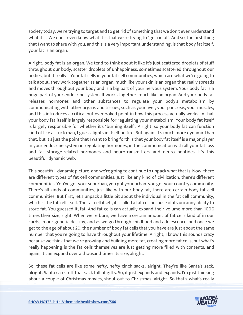society today, we're trying to target and to get rid of something that we don't even understand what it is. We don't even know what it is that we're trying to "get rid of". And so, the first thing that I want to share with you, and this is a very important understanding, is that body fat itself, your fat is an organ.

Alright, body fat is an organ. We tend to think about it like it's just scattered droplets of stuff throughout our body, scatter droplets of unhappiness, sometimes scattered throughout our bodies, but it really... Your fat cells in your fat cell communities, which are what we're going to talk about, they work together as an organ, much like your skin is an organ that really spreads and moves throughout your body and is a big part of your nervous system. Your body fat is a huge part of your endocrine system. It works together, much like an organ. And your body fat releases hormones and other substances to regulate your body's metabolism by communicating with other organs and tissues, such as your liver, your pancreas, your muscles, and this introduces a critical but overlooked point in how this process actually works, in that your body fat itself is largely responsible for regulating your metabolism. Your body fat itself is largely responsible for whether it's "burning itself". Alright, so your body fat can function kind of like a stuck man, I guess, lights in itself on fire. But again, it's much more dynamic than that, but it's just the point that I want to bring forth is that your body fat itself is a major player in your endocrine system in regulating hormones, in the communication with all your fat loss and fat storage-related hormones and neurotransmitters and neuro peptides. It's this beautiful, dynamic web.

This beautiful, dynamic picture, and we're going to continue to unpack what that is. Now, there are different types of fat cell communities. Just like any kind of civilization, there's different communities. You've got your suburban, you got your urban, you got your country community. There's all kinds of communities, just like with our body fat, there are certain body fat cell communities. But first, let's unpack a little bit about the individual in the fat cell community, which is the fat cell itself. The fat cell itself, it's called a fat cell because of its uncanny ability to store fat. You guessed it, fat. And fat cells can actually expand their volume more than 1000 times their size, right. When we're born, we have a certain amount of fat cells kind of in our cards, in our genetic destiny, and as we go through childhood and adolescence, and once we get to the age of about 20, the number of body fat cells that you have are just about the same number that you're going to have throughout your lifetime. Alright, I know this sounds crazy because we think that we're growing and building more fat, creating more fat cells, but what's really happening is the fat cells themselves are just getting more filled with contents, and again, it can expand over a thousand times its size, alright.

So, these fat cells are like some hefty, hefty cinch sacks, alright. They're like Santa's sack, alright. Santa can stuff that sack full of gifts. So, it just expands and expands. I'm just thinking [about a couple of Christmas movies, shout out to Christmas, alright. So that](https://themodelhealthshow.com/science-of-body-fat/)'[s what](https://themodelhealthshow.com/science-of-body-fat/)'[s really](https://themodelhealthshow.com/science-of-body-fat/) 

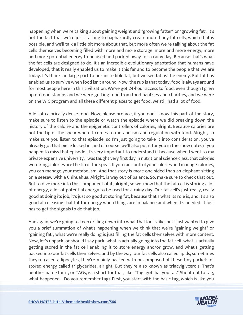happening when we're talking about gaining weight and "growing fatter" or "growing fat". It's not the fact that we're just starting to haphazardly create more body fat cells, which that is possible, and we'll talk a little bit more about that, but more often we're talking about the fat cells themselves becoming filled with more and more storage, more and more energy, more and more potential energy to be used and packed away for a rainy day. Because that's what the fat cells are designed to do. It's an incredible evolutionary adaptation that humans have developed, that it really enabled us to make it this far and to become the people that we are today. It's thanks in large part to our incredible fat, but we see fat as the enemy. But fat has enabled us to survive when food isn't around. Now, the rub is that today, food is always around for most people here in this civilization. We've got 24-hour access to food, even though I grew up on food stamps and we were getting food from food pantries and charities, and we were on the WIC program and all these different places to get food, we still had a lot of food.

A lot of calorically dense food. Now, please preface, if you don't know this part of the story, make sure to listen to the episode or watch the episode where we did breaking down the history of the calorie and the epigenetic controllers of calories, alright. Because calories are not the tip of the spear when it comes to metabolism and regulation with food. Alright, so make sure you listen to that episode, so I'm just going to take it into consideration, you've already got that piece locked in, and of course, we'll also put it for you in the show notes if you happen to miss that episode. It's very important to understand it because when I went to my private expensive university, I was taught very first day in nutritional science class, that calories were king, calories are the tip of the spear. If you can control your calories and manage calories, you can manage your metabolism. And that story is more one-sided than an elephant sitting on a seesaw with a Chihuahua. Alright, is way out of balance. So, make sure to check that out. But to dive more into this component of it, alright, so we know that the fat cell is storing a lot of energy, a lot of potential energy to be used for a rainy day. Our fat cell's just really, really good at doing its job, it's just so good at storing fat, because that's what its role is, and it's also good at releasing that fat for energy when things are in balance and when it's needed. It just has to get the signals to do that job.

And again, we're going to keep drilling down into what that looks like, but I just wanted to give you a brief summation of what's happening when we think that we're "gaining weight" or "gaining fat", what we're really doing is just filling the fat cells themselves with more content. Now, let's unpack, or should I say pack, what is actually going into the fat cell, what is actually getting stored in the fat cell enabling it to store energy and/or grow, and what's getting packed into our fat cells themselves, and by the way, our fat cells also called lipids, sometimes they're called adipocytes, they're mainly packed with or composed of these tiny packets of stored energy called triglycerides, alright. But they're also known as triacylglycerols. That's another name for it, or TAGs, is a short for that, like, "Tag, gotcha, you fat." Shout out to tag, [what happened... Do you remember tag? First, you start with the basic tag, which is like you](https://themodelhealthshow.com/science-of-body-fat/) 

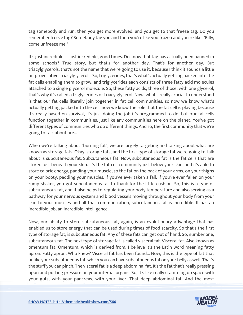tag somebody and run, then you get more evolved, and you get to that freeze tag. Do you remember freeze tag? Somebody tag you and then you're like you frozen and you're like, "Billy, come unfreeze me."

It's just incredible, is just incredible, good times. Do know that tag has actually been banned in some schools? True story, but that's for another day. That's for another day. But triacylglycerols, that's not the name that we're going to use it, because I think it sounds a little bit provocative, triacylglycerols. So, triglycerides, that's what's actually getting packed into the fat cells enabling them to grow, and triglycerides each consists of three fatty acid molecules attached to a single glycerol molecule. So, these fatty acids, three of those, with one glycerol, that's why it's called a triglycerides or triacylglycerol. Now, what's really crucial to understand is that our fat cells literally join together in fat cell communities, so now we know what's actually getting packed into the cell, now we know the role that the fat cell is playing because it's really based on survival, it's just doing the job it's programmed to do, but our fat cells function together in communities, just like any communities here on the planet. You've got different types of communities who do different things. And so, the first community that we're going to talk about are...

When we're talking about "burning fat", we are largely targeting and talking about what are known as storage fats. Okay, storage fats, and the first type of storage fat we're going to talk about is subcutaneous fat. Subcutaneous fat. Now, subcutaneous fat is the fat cells that are stored just beneath your skin. It's the fat cell community just below your skin, and it's able to store caloric energy, padding your muscle, so the fat on the back of your arms, on your thighs on your booty, padding your muscles, if you've ever taken a fall, if you're ever fallen on your rump shaker, you got subcutaneous fat to thank for the little cushion. So, this is a type of subcutaneous fat, and it also helps to regulating your body temperature and also serving as a pathway for your nervous system and blood vessels moving throughout your body from your skin to your muscles and all that communication, subcutaneous fat is incredible. It has an incredible job, an incredible intelligence.

Now, our ability to store subcutaneous fat, again, is an evolutionary advantage that has enabled us to store energy that can be used during times of food scarcity. So that's the first type of storage fat, is subcutaneous fat. Any of these fats can get out of hand. So, number one, subcutaneous fat. The next type of storage fat is called visceral fat. Visceral fat. Also known as omentum fat. Omentum, which is derived from, I believe it's the Latin word meaning fatty apron. Fatty apron. Who knew? Visceral fat has been found... Now, this is the type of fat that unlike your subcutaneous fat, which you can have subcutaneous fat on your belly as well. That's the stuff you can pinch. The visceral fat is a deep abdominal fat. It's the fat that's really pressing upon and putting pressure on your internal organs. So, it's like really cramming up space with [your guts, with your pancreas, with your liver. That deep abdominal fat. And the most](https://themodelhealthshow.com/science-of-body-fat/)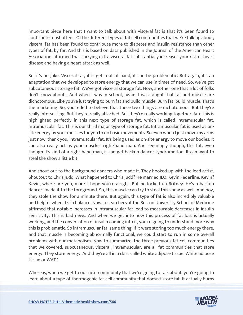important piece here that I want to talk about with visceral fat is that it's been found to contribute most often... Of the different types of fat cell communities that we're talking about, visceral fat has been found to contribute more to diabetes and insulin-resistance than other types of fat, by far. And this is based on data published in the Journal of the American Heart Association, affirmed that carrying extra visceral fat substantially increases your risk of heart disease and having a heart attack as well.

So, it's no joke. Visceral fat, if it gets out of hand, it can be problematic. But again, it's an adaptation that we developed to store energy that we can use in times of need. So, we've got subcutaneous storage fat. We've got visceral storage fat. Now, another one that a lot of folks don't know about... And when I was in school, again, I was taught that fat and muscle are dichotomous. Like you're just trying to burn fat and build muscle. Burn fat, build muscle. That's the marketing. So, you're led to believe that these two things are dichotomous. But they're really intersecting. But they're really attached. But they're really working together. And this is highlighted perfectly in this next type of storage fat, which is called intramuscular fat. Intramuscular fat. This is our third major type of storage fat. Intramuscular fat is used as onsite energy by your muscles for you to do basic movements. So even when I just move my arms just now, thank you, intramuscular fat. It's being used as on-site energy to move our bodies. It can also really act as your muscles' right-hand man. And seemingly though, this fat, even though it's kind of a right-hand man, it can get backup dancer syndrome too. It can want to steal the show a little bit.

And shout out to the background dancers who made it. They hooked up with the lead artist. Shoutout to Chris Judd. What happened to Chris Judd? He married JLO. Kevin Federline. Kevin? Kevin, where are you, man? I hope you're alright. But he locked up Britney. He's a backup dancer, made it to the foreground. So, this muscle can try to steal this show as well. And boy, they stole the show for a minute there. But again, this type of fat is also incredibly valuable and helpful when it's in balance. Now, researchers at the Boston University School of Medicine affirmed that notable increases in intramuscular fat lead to measurable decreases in insulin sensitivity. This is bad news. And when we get into how this process of fat loss is actually working, and the conversation of insulin coming into it, you're going to understand more why this is problematic. So intramuscular fat, same thing. If it were storing too much energy there, and that muscle is becoming abnormally functional, we could start to run in some overall problems with our metabolism. Now to summarize, the three previous fat cell communities that we covered, subcutaneous, visceral, intramuscular, are all fat communities that store energy. They store energy. And they're all in a class called white adipose tissue. White adipose tissue or WAT?

Whereas, when we get to our next community that we're going to talk about, you're going to [learn about a type of thermogenic fat cell community that doesn](https://themodelhealthshow.com/science-of-body-fat/)'[t store fat. It actually burns](https://themodelhealthshow.com/science-of-body-fat/)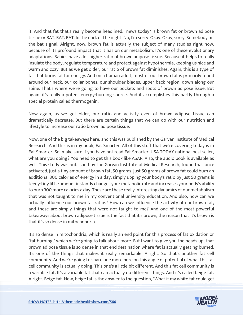it. And that fat that's really become headlined. "news today" is brown fat or brown adipose tissue or BAT. BAT. BAT. In the dark of the night. No, I'm sorry. Okay. Okay, sorry. Somebody hit the bat signal. Alright, now, brown fat is actually the subject of many studies right now, because of its profound impact that it has on our metabolism. It's one of these evolutionary adaptations. Babies have a lot higher ratio of brown adipose tissue. Because it helps to really insulate the body, regulate temperature and protect against hypothermia, keeping us nice and warm and cozy. But as we get older, our ratio of brown fat diminishes. Again, this is a type of fat that burns fat for energy. And on a human adult, most of our brown fat is primarily found around our neck, our collar bones, our shoulder blades, upper back region, down along our spine. That's where we're going to have our pockets and spots of brown adipose issue. But again, it's really a potent energy-burning source. And it accomplishes this partly through a special protein called thermogenin.

Now again, as we get older, our ratio and activity even of brown adipose tissue can dramatically decrease. But there are certain things that we can do with our nutrition and lifestyle to increase our ratio brown adipose tissue.

Now, one of the big takeaways here, and this was published by the Garvan Institute of Medical Research. And this is in my book, Eat Smarter. All of this stuff that we're covering today is in Eat Smarter. So, make sure if you have not read Eat Smarter, USA TODAY national best seller, what are you doing? You need to get this book like ASAP. Also, the audio book is available as well. This study was published by the Garvan Institute of Medical Research, found that once activated, just a tiny amount of brown fat, 50 grams, just 50 grams of brown fat could burn an additional 300 calories of energy in a day, simply upping your body's ratio by just 50 grams is teeny-tiny little amount instantly changes your metabolic rate and increases your body's ability to burn 300 more calories a day. These are these really interesting dynamics of our metabolism that was not taught to me in my conventional university education. And also, how can we actually influence our brown fat ratios? How can we influence the activity of our brown fat, and these are simply things that were not taught to me? And one of the most powerful takeaways about brown adipose tissue is the fact that it's brown, the reason that it's brown is that it's so dense in mitochondria.

It's so dense in mitochondria, which is really an end point for this process of fat oxidation or "fat burning," which we're going to talk about more. But I want to give you the heads up, that brown adipose tissue is so dense in that end destination where fat is actually getting burned. It's one of the things that makes it really remarkable. Alright. So that's another fat cell community. And we're going to share one more here on this angle of potential of what this fat cell community is actually doing. This one's a little bit different. And this fat cell community is a variable fat. It's a variable fat that can actually do different things. And it's called beige fat. [Alright. Beige fat. Now, beige fat is the answer to the](https://themodelhealthshow.com/science-of-body-fat/) question, "What if my white fat could get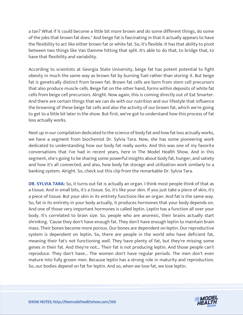a tan? What if it could become a little bit more brown and do some different things, do some of the jobs that brown fat does." And beige fat is fascinating in that it actually appears to have the flexibility to act like either brown fat or white fat. So, it's flexible. It has that ability to pivot between two things like Van Damme hitting that split. It's able to do that, to bridge that, to have that flexibility and variability.

According to scientists at Georgia State University, beige fat has potent potential to fight obesity in much the same way as brown fat by burning fuel rather than storing it. But beige fat is genetically distinct from brown fat. Brown fat cells are born from stem cell precursors that also produce muscle cells. Beige fat on the other hand, forms within deposits of white fat cells from beige cell precursors. Alright. Now again, this is coming directly out of Eat Smarter. And there are certain things that we can do with our nutrition and our lifestyle that influence the browning of these beige fat cells and also the activity of our brown fat, which we're going to get to a little bit later in the show. But first, we've got to understand how this process of fat loss actually works.

Next up in our compilation dedicated to the science of body fat and how fat loss actually works, we have a segment from biochemist Dr. Sylvia Tara. Now, she has some pioneering work dedicated to understanding how our body fat really works. And this was one of my favorite conversations that I've had in recent years, here in The Model Health Show. And in this segment, she's going to be sharing some powerful insights about body fat, hunger, and satiety and how it's all connected, and also, how body fat storage and utilization work similarly to a banking system. Alright. So, check out this clip from the remarkable Dr. Sylvia Tara.

**DR. SYLVIA TARA:** So, it turns out fat is actually an organ. I think most people think of that as a tissue. And in small bits, it's a tissue. So, it's like your skin. If you just take a piece of skin, it's a piece of tissue. But your skin in its entirety functions like an organ. And fat is the same way. So, fat in its entirety in your body actually, it produces hormones that your body depends on. And one of those very important hormones is called leptin. Leptin has a function all over your body. It's correlated to brain size. So, people who are anorexic, their brains actually start shrinking. 'Cause they don't have enough fat. They don't have enough leptin to maintain brain mass. Their bones become more porous. Our bones are dependent on leptin. Our reproductive system is dependent on leptin. So, there are people in the world who have deficient fat, meaning their fat's not functioning well. They have plenty of fat, but they're missing some genes in their fat. And they're not... Their fat is not producing leptin. And those people can't reproduce. They don't have... The women don't have regular periods. The men don't even mature into fully grown men. Because leptin has a strong role in maturity and reproduction. So, our bodies depend on fat for leptin. And so, when we lose fat, we lose leptin.

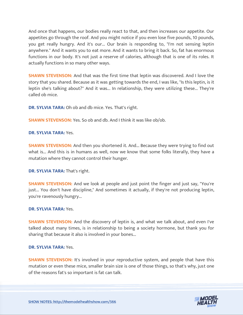And once that happens, our bodies really react to that, and then increases our appetite. Our appetites go through the roof. And you might notice if you even lose five pounds, 10 pounds, you get really hungry. And it's our... Our brain is responding to, "I'm not sensing leptin anywhere." And it wants you to eat more. And it wants to bring it back. So, fat has enormous functions in our body. It's not just a reserve of calories, although that is one of its roles. It actually functions in so many other ways.

**SHAWN STEVENSON:** And that was the first time that leptin was discovered. And I love the story that you shared. Because as it was getting towards the end, I was like, "Is this leptin, is it leptin she's talking about?" And it was... In relationship, they were utilizing these... They're called ob mice.

**DR. SYLVIA TARA:** Oh ob and db mice. Yes. That's right.

**SHAWN STEVENSON:** Yes. So ob and db. And I think it was like ob/ob.

# **DR. SYLVIA TARA:** Yes.

**SHAWN STEVENSON:** And then you shortened it. And... Because they were trying to find out what is... And this is in humans as well, now we know that some folks literally, they have a mutation where they cannot control their hunger.

**DR. SYLVIA TARA: That's right.** 

**SHAWN STEVENSON:** And we look at people and just point the finger and just say, "You're just... You don't have discipline," And sometimes it actually, if they're not producing leptin, you're ravenously hungry...

# **DR. SYLVIA TARA:** Yes.

**SHAWN STEVENSON:** And the discovery of leptin is, and what we talk about, and even I've talked about many times, is in relationship to being a society hormone, but thank you for sharing that because it also is involved in your bones...

#### **DR. SYLVIA TARA:** Yes.

**SHAWN STEVENSON:** It's involved in your reproductive system, and people that have this mutation or even these mice, smaller brain size is one of those things, so that's why, just one of the reasons fat's so important is fat can talk.

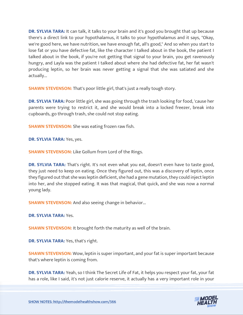**DR. SYLVIA TARA:** It can talk, it talks to your brain and it's good you brought that up because there's a direct link to your hypothalamus, it talks to your hypothalamus and it says, "Okay, we're good here, we have nutrition, we have enough fat, all's good," And so when you start to lose fat or you have defective fat, like the character I talked about in the book, the patient I talked about in the book, if you're not getting that signal to your brain, you get ravenously hungry, and Layla was the patient I talked about where she had defective fat, her fat wasn't producing leptin, so her brain was never getting a signal that she was satiated and she actually...

**SHAWN STEVENSON:** That's poor little girl, that's just a really tough story.

**DR. SYLVIA TARA:** Poor little girl, she was going through the trash looking for food, 'cause her parents were trying to restrict it, and she would break into a locked freezer, break into cupboards, go through trash, she could not stop eating.

**SHAWN STEVENSON:** She was eating frozen raw fish.

**DR. SYLVIA TARA:** Yes, yes.

**SHAWN STEVENSON:** Like Gollum from Lord of the Rings.

**DR. SYLVIA TARA:** That's right. It's not even what you eat, doesn't even have to taste good, they just need to keep on eating. Once they figured out, this was a discovery of leptin, once they figured out that she was leptin deficient, she had a gene mutation, they could inject leptin into her, and she stopped eating. It was that magical, that quick, and she was now a normal young lady.

**SHAWN STEVENSON:** And also seeing change in behavior...

**DR. SYLVIA TARA:** Yes.

**SHAWN STEVENSON: It brought forth the maturity as well of the brain.** 

**DR. SYLVIA TARA:** Yes, that's right.

**SHAWN STEVENSON:** Wow, leptin is super important, and your fat is super important because that's where leptin is coming from.

**DR. SYLVIA TARA:** Yeah, so I think The Secret Life of Fat, it helps you respect your fat, your fat [has a role, like I said, it](https://themodelhealthshow.com/science-of-body-fat/)'[s not just calorie reserve, it actually has](https://themodelhealthshow.com/science-of-body-fat/) a very important role in your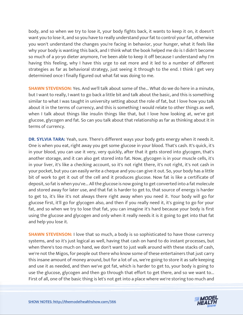body, and so when we try to lose it, your body fights back, it wants to keep it on, it doesn't want you to lose it, and so you have to really understand your fat to control your fat, otherwise you won't understand the changes you're facing in behavior, your hunger, what it feels like why your body is wanting this back, and I think what the book helped me do is I didn't become so much of a yo-yo dieter anymore, I've been able to keep it off because I understand why I'm having this feeling, why I have this urge to eat more and it led to a number of different strategies as far as behavioral strategy, just seeing it through to the end. I think I get very determined once I finally figured out what fat was doing to me.

**SHAWN STEVENSON:** Yes. And we'll talk about some of the... What do we do here in a minute, but I want to really, I want to go back a little bit and talk about the basic, and this is something similar to what I was taught in university setting about the role of fat, but I love how you talk about it in the terms of currency, and this is something I would relate to other things as well, when I talk about things like insulin things like that, but I love how looking at, we've got glucose, glycogen and fat. So can you talk about that relationship as far as thinking about it in terms of currency.

**DR. SYLVIA TARA:** Yeah, sure. There's different ways your body gets energy when it needs it. One is when you eat, right away you get some glucose in your blood. That's cash. It's quick, it's in your blood, you can use it very, very quickly, after that it gets stored into glycogen, that's another storage, and it can also get stored into fat. Now, glycogen is in your muscle cells, it's in your liver, it's like a checking account, so it's not right there, it's not right, it's not cash in your pocket, but you can easily write a cheque and you can give it out. So, your body has a little bit of work to get it out of the cell and it produces glucose. Now fat is like a certificate of deposit, so fat is when you've... All the glucose is now going to get converted into a fat molecule and stored away for later use, and that fat is harder to get to, that source of energy is harder to get to, it's like it's not always there right away when you need it. Your body will go for glucose first, it'll go for glycogen also, and then if you really need it, it's going to go for your fat, and so when we try to lose that fat, you can imagine it's hard because your body is first using the glucose and glycogen and only when it really needs it is it going to get into that fat and help you lose it.

**SHAWN STEVENSON: I** love that so much, a body is so sophisticated to have those currency systems, and so it's just logical as well, having that cash on hand to do instant processes, but when there's too much on hand, we don't want to just walk around with these stacks of cash, we're not the Migos, for people out there who know some of these entertainers that just carry this insane amount of money around, but for a lot of us, we're going to store it as safe keeping and use it as needed, and then we've got fat, which is harder to get to, your body is going to use the glucose, glycogen and then go through that effort to get there, and so we want to... [First of all, one of the basic thing is let](https://themodelhealthshow.com/science-of-body-fat/)'[s not get into a place where we](https://themodelhealthshow.com/science-of-body-fat/)'[re storing too much and](https://themodelhealthshow.com/science-of-body-fat/)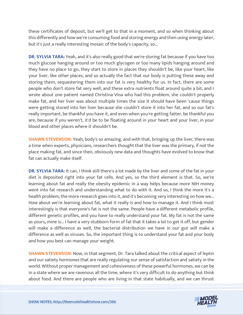these certificates of deposit, but we'll get to that in a moment, and so when thinking about this differently and how we're consuming food and storing energy and then using energy later, but it's just a really interesting mosaic of the body's capacity, so...

**DR. SYLVIA TARA:** Yeah, and it's also really good that we're storing fat because if you have too much glucose hanging around or too much glycogen or too many lipids hanging around and they have no place to go, they start to store in places they shouldn't be, like your heart, like your liver, like other places, and so actually the fact that our body is putting these away and storing them, sequestering them into our fat is very healthy for us. In fact, there are some people who don't store fat very well, and these extra nutrients float around quite a bit, and I wrote about one patient named Christina Vina who had this problem, she couldn't properly make fat, and her liver was about multiple times the size it should have been 'cause things were getting stored into her liver because she couldn't store it into her fat, and so our fat's really important, be thankful you have it, and even when you're getting fatter, be thankful you are, because if you weren't, it'd be to be floating around in your heart and your liver, in your blood and other places where it shouldn't be.

**SHAWN STEVENSON:** Yeah, body's so amazing, and with that, bringing up the liver, there was a time when experts, physicians, researchers thought that the liver was the primary, if not the place making fat, and since then, obviously new data and thoughts have evolved to know that fat can actually make itself.

**DR. SYLVIA TARA:** It can, I think still there's a lot made by the liver and some of the fat in your diet is deposited right into your fat cells. And yes, so the third element is that. So, we're learning about fat and really the obesity epidemic in a way helps because more NIH money went into fat research and understanding what to do with it. And so, I think the more it's a health problem, the more research goes into it, and it's becoming very interesting on how we... How about we're learning about fat, what it really is and how to manage it. And I think most interestingly is that everyone's fat is not the same. People have a different metabolic profile, different genetic profiles, and you have to really understand your fat. My fat is not the same as yours, mine is... I have a very stubborn form of fat that it takes a lot to get it off, but gender will make a difference as well, the bacterial distribution we have in our gut will make a difference as well as viruses. So, the important thing is to understand your fat and your body and how you best can manage your weight.

**SHAWN STEVENSON:** Now, in that segment, Dr. Tara talked about the critical aspect of leptin and our satiety hormones that are really regulating our sense of satisfaction and satiety in the world. Without proper management and cohesiveness of these powerful hormones, we can be in a state where we are ravenous all the time, where it's very difficult to do anything but think [about food. And there are people who are living in that state habitually, and we can thrust](https://themodelhealthshow.com/science-of-body-fat/)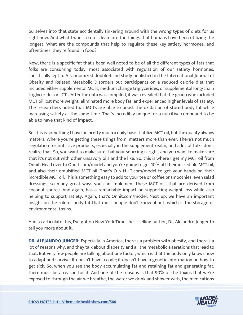ourselves into that state accidentally tinkering around with the wrong types of diets for us right now. And what I want to do is lean into the things that humans have been utilizing the longest. What are the compounds that help to regulate these key satiety hormones, and oftentimes, they're found in food?

Now, there is a specific fat that's been well noted to be of all the different types of fats that folks are consuming today, most associated with regulation of our satiety hormones, specifically leptin. A randomized double-blind study published in the International Journal of Obesity and Related Metabolic Disorders put participants on a reduced calorie diet that included either supplemental MCTs, medium change triglycerides, or supplemental long-chain triglycerides or LCTs. After the data was compiled, it was revealed that the group who included MCT oil lost more weight, eliminated more body fat, and experienced higher levels of satiety. The researchers noted that MCTs are able to boost the oxidation of stored body fat while increasing satiety at the same time. That's incredibly unique for a nutritive compound to be able to have that kind of impact.

So, this is something I have on pretty much a daily basis, I utilize MCT oil, but the quality always matters. Where you're getting these things from, matters more than ever. There's not much regulation for nutritive products, especially in the supplement realm, and a lot of folks don't realize that. So, you want to make sure that your sourcing is right, and you want to make sure that it's not cut with other unsavory oils and the like. So, this is where I get my MCT oil from Onnit. Head over to Onnit.com/model and you're going to get 10% off their incredible MCT oil, and also their emulsified MCT oil. That's O-N-N-I-T.com/model to get your hands on their incredible MCT oil. This is something easy to add to your tea or coffee or smoothies, even salad dressings, so many great ways you can implement these MCT oils that are derived from coconut source. And again, has a remarkable impact on supporting weight loss while also helping to support satiety. Again, that's Onnit.com/model. Next up, we have an important insight on the role of body fat that most people don't know about, which is the storage of environmental toxins.

And to articulate this, I've got on New York Times best-selling author, Dr. Alejandro Junger to tell you more about it.

**DR. ALEJANDRO JUNGER:** Especially in America, there's a problem with obesity, and there's a lot of reasons why, and they talk about diabesity and all the metabolic alterations that lead to that. But very few people are talking about one factor, which is that the body only knows how to adapt and survive. It doesn't have a code; it doesn't have a genetic information on how to get sick. So, when you see the body accumulating fat and retaining fat and generating fat, there must be a reason for it. And one of the reasons is that 90% of the toxins that we're [exposed to through the air we breathe, the water we drink and shower with, the medications](https://themodelhealthshow.com/science-of-body-fat/)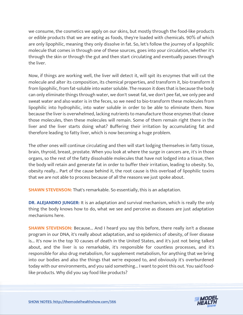we consume, the cosmetics we apply on our skins, but mostly through the food-like products or edible products that we are eating as foods, they're loaded with chemicals. 90% of which are only lipophilic, meaning they only dissolve in fat. So, let's follow the journey of a lipophilic molecule that comes in through one of these sources, goes into your circulation, whether it's through the skin or through the gut and then start circulating and eventually passes through the liver.

Now, if things are working well, the liver will detect it, will spit its enzymes that will cut the molecule and alter its composition, its chemical properties, and transform it, bio-transform it from lipophilic, from fat-soluble into water soluble. The reason it does that is because the body can only eliminate things through water, we don't sweat fat, we don't pee fat, we only pee and sweat water and also water is in the feces, so we need to bio-transform these molecules from lipophilic into hydrophilic, into water soluble in order to be able to eliminate them. Now because the liver is overwhelmed, lacking nutrients to manufacture those enzymes that cleave those molecules, then these molecules will remain. Some of them remain right there in the liver and the liver starts doing what? Buffering their irritation by accumulating fat and therefore leading to fatty liver, which is now becoming a huge problem.

The other ones will continue circulating and then will start lodging themselves in fatty tissue, brain, thyroid, breast, prostate. When you look at where the surge in cancers are, it's in those organs, so the rest of the fatty dissolvable molecules that have not lodged into a tissue, then the body will retain and generate fat in order to buffer their irritation, leading to obesity. So, obesity really... Part of the cause behind it, the root cause is this overload of lipophilic toxins that we are not able to process because of all the reasons we just spoke about.

**SHAWN STEVENSON:** That's remarkable. So essentially, this is an adaptation.

**DR. ALEJANDRO JUNGER:** It is an adaptation and survival mechanism, which is really the only thing the body knows how to do, what we see and perceive as diseases are just adaptation mechanisms here.

**SHAWN STEVENSON:** Because... And I heard you say this before, there really isn't a disease program in our DNA, it's really about adaptation, and so epidemics of obesity, of liver disease is... It's now in the top 10 causes of death in the United States, and it's just not being talked about, and the liver is so remarkable, it's responsible for countless processes, and it's responsible for also drug metabolism, for supplement metabolism, for anything that we bring into our bodies and also the things that we're exposed to, and obviously it's overburdened today with our environments, and you said something... I want to point this out. You said foodlike products. Why did you say food like products?

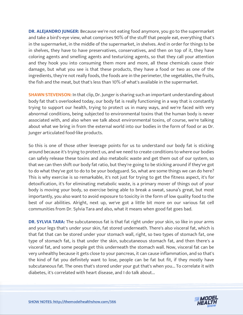**DR. ALEJANDRO JUNGER:** Because we're not eating food anymore, you go to the supermarket and take a bird's-eye view, what comprises 90% of the stuff that people eat, everything that's in the supermarket, in the middle of the supermarket, in shelves. And in order for things to be in shelves, they have to have preservatives, conservatives, and then on top of it, they have coloring agents and smelling agents and texturizing agents, so that they call your attention and they hook you into consuming them more and more, all these chemicals cause their damage, but what you see is that these products, they have a food or two as one of the ingredients, they're not really foods, the foods are in the perimeter, the vegetables, the fruits, the fish and the meat, but that's less than 10% of what's available in the supermarket.

**SHAWN STEVENSON:** In that clip, Dr. Junger is sharing such an important understanding about body fat that's overlooked today, our body fat is really functioning in a way that is constantly trying to support our health, trying to protect us in many ways, and we're faced with very abnormal conditions, being subjected to environmental toxins that the human body is never associated with, and also when we talk about environmental toxins, of course, we're talking about what we bring in from the external world into our bodies in the form of food or as Dr. Junger articulated food-like products.

So this is one of those other leverage points for us to understand our body fat is sticking around because it's trying to protect us, and we need to create conditions to where our bodies can safely release these toxins and also metabolic waste and get them out of our system, so that we can then shift our body fat ratio, but they're going to be sticking around if they've got to do what they've got to do to be your bodyguard. So, what are some things we can do here? This is why exercise is so remarkable, it's not just for trying to get the fitness aspect, it's for detoxification, it's for eliminating metabolic waste, is a primary mover of things out of your body is moving your body, so exercise being able to break a sweat, sauna's great, but most importantly, you also want to avoid exposure to toxicity in the form of low quality food to the best of our abilities. Alright, next up, we've got a little bit more on our various fat cell communities from Dr. Sylvia Tara and also, what it means when good fat goes bad.

**DR. SYLVIA TARA:** The subcutaneous fat is that fat right under your skin, so like in your arms and your legs that's under your skin, fat stored underneath. There's also visceral fat, which is that fat that can be stored under your stomach wall, right, so two types of stomach fat, one type of stomach fat, is that under the skin, subcutaneous stomach fat, and then there's a visceral fat, and some people get this underneath the stomach wall. Now, visceral fat can be very unhealthy because it gets close to your pancreas, it can cause inflammation, and so that's the kind of fat you definitely want to lose, people can be fat but fit, if they mostly have subcutaneous fat. The ones that's stored under your gut that's when you... To correlate it with diabetes, it's correlated with heart disease, and I do talk about...

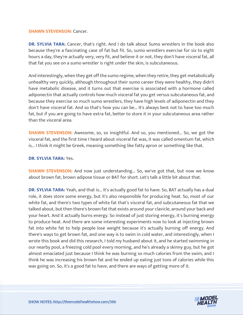#### **SHAWN STEVENSON: Cancer.**

**DR. SYLVIA TARA:** Cancer, that's right. And I do talk about Sumo wrestlers in the book also because they're a fascinating case of fat but fit. So, sumo wrestlers exercise for six to eight hours a day, they're actually very, very fit, and believe it or not, they don't have visceral fat, all that fat you see on a sumo wrestler is right under the skin, is subcutaneous.

And interestingly, when they get off the sumo regime, when they retire, they get metabolically unhealthy very quickly, although throughout their sumo career they were healthy, they didn't have metabolic disease, and it turns out that exercise is associated with a hormone called adiponectin that actually controls how much visceral fat you get versus subcutaneous fat, and because they exercise so much sumo wrestlers, they have high levels of adiponectin and they don't have visceral fat. And so that's how you can be... It's always best not to have too much fat, but if you are going to have extra fat, better to store it in your subcutaneous area rather than the visceral area.

**SHAWN STEVENSON:** Awesome, so, so insightful. And so, you mentioned... So, we got the visceral fat, and the first time I heard about visceral fat was, it was called omentum fat, which is... I think it might be Greek, meaning something like fatty apron or something like that.

#### **DR. SYLVIA TARA:** Yes.

**SHAWN STEVENSON:** And now just understanding... So, we've got that, but now we know about brown fat, brown adipose tissue or BAT for short. Let's talk a little bit about that.

**DR. SYLVIA TARA:** Yeah, and that is... It's actually good fat to have. So, BAT actually has a dual role, it does store some energy, but it's also responsible for producing heat. So, most of our white fat, and there's two types of white fat that's visceral fat, and subcutaneous fat that we talked about, but then there's brown fat that exists around your clavicle, around your back and your heart. And it actually burns energy. So instead of just storing energy, it's burning energy to produce heat. And there are some interesting experiments now to look at injecting brown fat into white fat to help people lose weight because it's actually burning off energy. And there's ways to get brown fat, and one way is to swim in cold water, and interestingly, when I wrote this book and did this research, I told my husband about it, and he started swimming in our nearby pool, a freezing cold pool every morning, and he's already a skinny guy, but he got almost emaciated just because I think he was burning so much calories from the swim, and I think he was increasing his brown fat and he ended up eating just tons of calories while this was going on. So, it's a good fat to have, and there are ways of getting more of it.

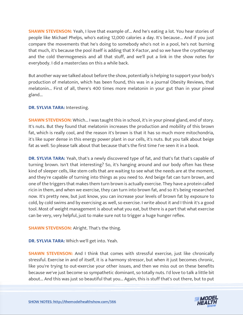**SHAWN STEVENSON:** Yeah, I love that example of... And he's eating a lot. You hear stories of people like Michael Phelps, who's eating 12,000 calories a day. It's because... And if you just compare the movements that he's doing to somebody who's not in a pool, he's not burning that much, it's because the pool itself is adding that X-Factor, and so we have the cryotherapy and the cold thermogenesis and all that stuff, and we'll put a link in the show notes for everybody. I did a masterclass on this a while back.

But another way we talked about before the show, potentially is helping to support your body's production of melatonin, which has been found, this was in a journal Obesity Reviews, that melatonin... First of all, there's 400 times more melatonin in your gut than in your pineal gland...

# **DR. SYLVIA TARA: Interesting.**

**SHAWN STEVENSON:** Which... I was taught this in school, it's in your pineal gland, end of story. It's nuts. But they found that melatonin increases the production and mobility of this brown fat, which is really cool, and the reason it's brown is that it has so much more mitochondria, it's like super dense in this energy power plant in our cells, it's nuts. But you talk about beige fat as well. So please talk about that because that's the first time I've seen it in a book.

**DR. SYLVIA TARA:** Yeah, that's a newly discovered type of fat, and that's fat that's capable of turning brown. Isn't that interesting? So, it's hanging around and our body often has these kind of sleeper cells, like stem cells that are waiting to see what the needs are at the moment, and they're capable of turning into things as you need to. And beige fat can turn brown, and one of the triggers that makes them turn brown is actually exercise. They have a protein called ricin in them, and when we exercise, they can turn into brown fat, and so it's being researched now. It's pretty new, but just know, you can increase your levels of brown fat by exposure to cold, by cold swims and by exercising as well, so exercise. I write about it and I think it's a good tool. Most of weight management is about what you eat, but there is a part that what exercise can be very, very helpful, just to make sure not to trigger a huge hunger reflex.

# **SHAWN STEVENSON: Alright. That's the thing.**

**DR. SYLVIA TARA:** Which we'll get into. Yeah.

**SHAWN STEVENSON:** And I think that comes with stressful exercise, just like chronically stressful. Exercise in and of itself, it is a harmony stressor, but when it just becomes chronic, like you're trying to out-exercise your other issues, and then we miss out on these benefits because we've just become so sympathetic dominant, so totally nuts. I'd love to talk a little bit [about... And this was just so beautiful that you... Again, this is stuff that](https://themodelhealthshow.com/science-of-body-fat/)'[s out there, but to put](https://themodelhealthshow.com/science-of-body-fat/)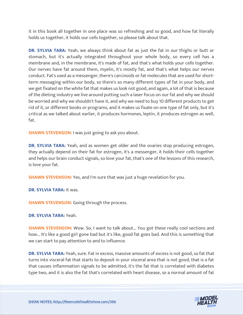it in this book all together in one place was so refreshing and so good, and how fat literally holds us together, it holds our cells together, so please talk about that.

**DR. SYLVIA TARA:** Yeah, we always think about fat as just the fat in our thighs or butt or stomach, but it's actually integrated throughout your whole body, so every cell has a membrane and, in the membrane, it's made of fat, and that's what holds your cells together. Our nerves have fat around them, myelin, it's mostly fat, and that's what helps our nerves conduct. Fat's used as a messenger, there's carcinoids or fat molecules that are used for shortterm messaging within our body, so there's so many different types of fat in your body, and we get fixated on the white fat that makes us look not good, and again, a lot of that is because of the dieting industry we live around putting such a laser focus on our fat and why we should be worried and why we shouldn't have it, and why we need to buy 10 different products to get rid of it, or different books or programs, and it makes us fixate on one type of fat only, but it's critical as we talked about earlier, it produces hormones, leptin, it produces estrogen as well, fat.

**SHAWN STEVENSON:** I was just going to ask you about.

**DR. SYLVIA TARA:** Yeah, and as women get older and the ovaries stop producing estrogen, they actually depend on their fat for estrogen, it's a messenger, it holds their cells together and helps our brain conduct signals, so love your fat, that's one of the lessons of this research, is love your fat.

**SHAWN STEVENSON:** Yes, and I'm sure that was just a huge revelation for you.

**DR. SYLVIA TARA:** It was.

**SHAWN STEVENSON:** Going through the process.

**DR. SYLVIA TARA:** Yeah.

**SHAWN STEVENSON:** Wow. So, I want to talk about... You got these really cool sections and how... It's like a good girl gone bad but it's like, good fat goes bad. And this is something that we can start to pay attention to and to influence.

**DR. SYLVIA TARA:** Yeah, sure. Fat in excess, massive amounts of excess is not good, so fat that turns into visceral fat that starts to deposit in your visceral area that is not good, that is a fat that causes inflammation signals to be admitted, it's the fat that is correlated with diabetes type two, and it is also the fat that's correlated with heart disease, so a normal amount of fat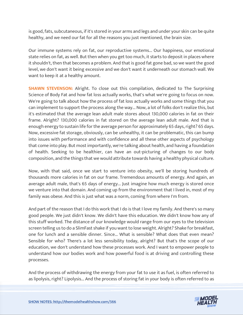is good, fats, subcutaneous, if it's stored in your arms and legs and under your skin can be quite healthy, and we need our fat for all the reasons you just mentioned, the brain size.

Our immune systems rely on fat, our reproductive systems... Our happiness, our emotional state relies on fat, as well. But then when you get too much, it starts to deposit in places where it shouldn't, then that becomes a problem. And that is good fat gone bad, so we want the good level, we don't want it being excessive and we don't want it underneath our stomach wall. We want to keep it at a healthy amount.

**SHAWN STEVENSON:** Alright. To close out this compilation, dedicated to The Surprising Science of Body Fat and how fat loss actually works, that's what we're going to focus on now. We're going to talk about how the process of fat loss actually works and some things that you can implement to support the process along the way... Now, a lot of folks don't realize this, but it's estimated that the average lean adult male stores about 130,000 calories in fat on their frame. Alright? 130,000 calories in fat stored on the average lean adult male. And that is enough energy to sustain life for the average person for approximately 65 days, right? 65 days. Now, excessive fat storage, obviously, can be unhealthy, it can be problematic, this can bump into issues with performance and with confidence and all these other aspects of psychology that come into play. But most importantly, we're talking about health, and having a foundation of health. Seeking to be healthier, can have an out-picturing of changes to our body composition, and the things that we would attribute towards having a healthy physical culture.

Now, with that said, once we start to venture into obesity, we'll be storing hundreds of thousands more calories in fat on our frame. Tremendous amounts of energy. And again, an average adult male, that's 65 days of energy... Just imagine how much energy is stored once we venture into that domain. And coming up from the environment that I lived in, most of my family was obese. And this is just what was a norm, coming from where I'm from.

And part of the reason that I do this work that I do is that I love my family. And there's so many good people. We just didn't know. We didn't have this education. We didn't know how any of this stuff worked. The distance of our knowledge would range from our eyes to the television screen telling us to do a SlimFast shake if you want to lose weight. Alright? Shake for breakfast, one for lunch and a sensible dinner. Since... What is sensible? What does that even mean? Sensible for who? There's a lot less sensibility today, alright? But that's the scope of our education, we don't understand how these processes work. And I want to empower people to understand how our bodies work and how powerful food is at driving and controlling these processes.

And the process of withdrawing the energy from your fat to use it as fuel, is often referred to [as lipolysis, right? Lipolysis... And the process of storing fat in your body is often referred to as](https://themodelhealthshow.com/science-of-body-fat/)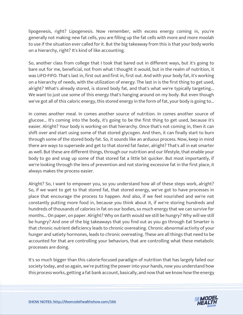lipogenesis, right? Lipogenesis. Now remember, with excess energy coming in, you're generally not making new fat cells, you are filling up the fat cells with more and more moolah to use if the situation ever called for it. But the big takeaway from this is that your body works on a hierarchy, right? It's kind of like accounting.

So, another class from college that I took that bared out in different ways, but it's going to bare out for me, beneficial, not from what I thought it would, but in the realm of nutrition, it was LIFO-FIFO. That's last in, first out and first in, first out. And with your body fat, it's working on a hierarchy of needs, with the utilization of energy. The last in is the first thing to get used, alright? What's already stored, is stored body fat, and that's what we're typically targeting... We want to just use some of this energy that's hanging around on my body. But even though we've got all of this caloric energy, this stored energy in the form of fat, your body is going to...

In comes another meal. In comes another source of nutrition. In comes another source of glucose... It's coming into the body, it's going to be the first thing to get used, because it's easier. Alright? Your body is working on that hierarchy. Once that's not coming in, then it can shift over and start using some of that stored glycogen. And then, it can finally start to burn through some of the stored body fat. So, it sounds like an arduous process. Now, keep in mind there are ways to supersede and get to that stored fat faster, alright? That's all in eat smarter as well. But these are different things, through our nutrition and our lifestyle, that enable your body to go and snag up some of that stored fat a little bit quicker. But most importantly, if we're looking through the lens of prevention and not storing excessive fat in the first place, it always makes the process easier.

Alright? So, I want to empower you, so you understand how all of these steps work, alright? So, if we want to get to that stored fat, that stored energy, we've got to have processes in place that encourage the process to happen. And also, if we feel nourished and we're not constantly putting more food in, because you think about it, if we're storing hundreds and hundreds of thousands of calories in fat on our bodies, so much energy that we can survive for months... On paper, on paper. Alright? Why on Earth would we still be hungry? Why will we still be hungry? And one of the big takeaways that you find out as you go through Eat Smarter is that chronic nutrient deficiency leads to chronic overeating. Chronic abnormal activity of your hunger and satiety hormones, leads to chronic overeating. These are all things that need to be accounted for that are controlling your behaviors, that are controlling what these metabolic processes are doing.

It's so much bigger than this calorie-focused paradigm of nutrition that has largely failed our society today, and so again, we're putting the power into your hands, now you understand how this process works, getting a fat bank account, basically, and now that we know how the energy

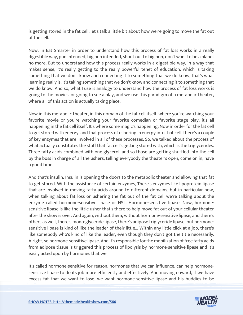is getting stored in the fat cell, let's talk a little bit about how we're going to move the fat out of the cell.

Now, in Eat Smarter in order to understand how this process of fat loss works in a really digestible way, pun intended, big pun intended, shout out to big pun, don't want to be a planet no more. But to understand how this process really works in a digestible way, in a way that makes sense, it's really getting to the really powerful tenet of education, which is taking something that we don't know and connecting it to something that we do know, that's what learning really is. It's taking something that we don't know and connecting it to something that we do know. And so, what I use is analogy to understand how the process of fat loss works is going to the movies, or going to see a play, and we use this paradigm of a metabolic theater, where all of this action is actually taking place.

Now in this metabolic theater, in this domain of the fat cell itself, where you're watching your favorite movie or you're watching your favorite comedian or favorite stage play, it's all happening in the fat cell itself. It's where some magic's happening. Now in order for the fat cell to get stored with energy, and that process of ushering in energy into that cell, there's a couple of key enzymes that are involved in all of these processes. So, we talked about the process of what actually constitutes the stuff that fat cell's getting stored with, which is the triglycerides. Three fatty acids combined with one glycerol, and so those are getting shuttled into the cell by the boss in charge of all the ushers, telling everybody the theater's open, come on in, have a good time.

And that's insulin. Insulin is opening the doors to the metabolic theater and allowing that fat to get stored. With the assistance of certain enzymes, There's enzymes like lipoprotein lipase that are involved in moving fatty acids around to different domains, but in particular now, when talking about fat loss or ushering the fat out of the fat cell we're talking about the enzyme called hormone-sensitive lipase or HSL. Hormone-sensitive lipase. Now, hormonesensitive lipase is like the little usher that's there to help move fat out of your cellular theater after the show is over. And again, without them, without hormone-sensitive lipase, and there's others as well, there's mono-glyceride lipase, there's adipose triglyceride lipase, but hormonesensitive lipase is kind of like the leader of their little... Within any little click at a job, there's like somebody who's kind of like the leader, even though they don't got the title necessarily. Alright, so hormone-sensitive lipase. And it's responsible for the mobilization of free fatty acids from adipose tissue is triggered this process of lipolysis by hormone-sensitive lipase and it's easily acted upon by hormones that we...

It's called hormone-sensitive for reason, hormones that we can influence, can help hormonesensitive lipase to do its job more efficiently and effectively. And moving onward, if we have [excess fat that we want to lose, we want hormone-sensitive lipase and his buddies to be](https://themodelhealthshow.com/science-of-body-fat/)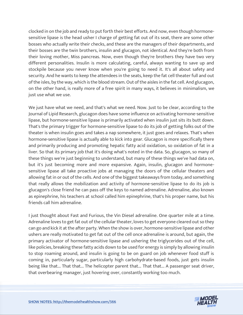clocked in on the job and ready to put forth their best efforts. And now, even though hormonesensitive lipase is the head usher I charge of getting fat out of its seat, there are some other bosses who actually write their checks, and these are the managers of their departments, and their bosses are the twin brothers, insulin and glucagon, not identical. And they're both from their loving mother, Miss pancreas. Now, even though they're brothers they have two very different personalities. Insulin is more calculating, careful, always wanting to save up and stockpile because you never know when you're going to need it. It's all about safety and security. And he wants to keep the attendees in the seats, keep the fat cell theater full and out of the isles, by the way, which is the blood stream. Out of the aisles in the fat cell. And glucagon, on the other hand, is really more of a free spirit in many ways, it believes in minimalism, we just use what we use.

We just have what we need, and that's what we need. Now. Just to be clear, according to the Journal of Lipid Research, glucagon does have some influence on activating hormone-sensitive lipase, but hormone-sensitive lipase is primarily activated when insulin just sits its butt down. That's the primary trigger for hormone-sensitive lipase to do its job of getting folks out of the theater is when insulin goes and takes a nap somewhere, it just goes and relaxes. That's when hormone-sensitive lipase is actually able to kick into gear. Glucagon is more specifically there and primarily producing and promoting hepatic fatty acid oxidation, so oxidation of fat in a liver. So that its primary job that it's doing what's noted in the data. So, glucagon, so many of these things we're just beginning to understand, but many of these things we've had data on, but it's just becoming more and more expansive. Again, insulin, glucagon and hormonesensitive lipase all take proactive jobs at managing the doors of the cellular theaters and allowing fat in or out of the cells. And one of the biggest takeaways from today, and something that really allows the mobilization and activity of hormone-sensitive lipase to do its job is glucagon's close friend he can pass off the keys to named adrenaline. Adrenaline, also known as epinephrine, his teachers at school called him epinephrine, that's his proper name, but his friends call him adrenaline.

I just thought about Fast and Furious, the Vin Diesel adrenaline. One quarter mile at a time. Adrenaline loves to get fat out of the cellular theater, loves to get everyone cleared out so they can go and kick it at the after party. When the show is over, hormone-sensitive lipase and other ushers are really motivated to get fat out of the cell once adrenaline is around, but again, the primary activator of hormone-sensitive lipase and ushering the triglycerides out of the cell, like policies, breaking these fatty acids down to be used for energy is simply by allowing insulin to stop roaming around, and insulin is going to be on guard on job whenever food stuff is coming in, particularly sugar, particularly high carbohydrate-based foods, just gets insulin being like that... That that... The helicopter parent that... That that... A passenger seat driver, that overbearing manager, just hovering over, constantly working too much.

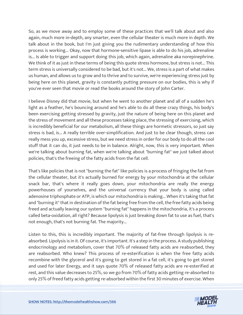So, as we move away and to employ some of these practices that we'll talk about and also again, much more in-depth, any smarter, even the cellular theater is much more in depth. We talk about in the book, but I'm just giving you the rudimentary understanding of how this process is working... Okay, now that hormone-sensitive lipase is able to do his job, adrenaline is... Is able to trigger and support doing this job, which again, adrenaline aka norepinephrine. We think of it as just in these terms of being this quote stress hormone, but stress is not... This term stress is universally considered to be bad, but it's not... We, stress is a part of what makes us human, and allows us to grow and to thrive and to survive, we're experiencing stress just by being here on this planet, gravity is constantly putting pressure on our bodies, this is why if you've ever seen that movie or read the books around the story of John Carter.

I believe Disney did that movie, but when he went to another planet and all of a sudden he's light as a feather, he's bouncing around and he's able to do all these crazy things, his body's been exercising getting stressed by gravity, just the nature of being here on this planet and the stress of movement and all these processes taking place, the stressing of exercising, which is incredibly beneficial for our metabolism, all these things are hormetic stressors, so just say stress is bad, is... A really terrible over-simplification. And just to be clear though, stress can really mess you up, excessive stress, but we need stress in order for our body to do all the cool stuff that it can do, it just needs to be in balance. Alright, now, this is very important. When we're talking about burning fat, when we're talking about "burning fat" we just talked about policies, that's the freeing of the fatty acids from the fat cell.

That's like policies that is not "burning the fat" like policies is a process of fringing the fat from the cellular theater, but it's actually burned for energy by your mitochondria at the cellular snack bar, that's where it really goes down, your mitochondria are really the energy powerhouses of yourselves, and the universal currency that your body is using called adenosine triphosphate or ATP, is which our mitochondria is making... When it's taking that fat and "burning it" that in destination of the fat being free from the cell, the free fatty acids being freed and actually leaving our system "burning fat" happens in the mitochondria, it's a process called beta-oxidation, all right? Because lipolysis is just breaking down fat to use as fuel, that's not enough, that's not burning fat. The majority...

Listen to this, this is incredibly important. The majority of fat-free through lipolysis is reabsorbed. Lipolysis is in it. Of course, it's important. It's a step in the process. A study publishing endocrinology and metabolism, cover that 70% of released fatty acids are reabsorbed, they are reabsorbed. Who knew? This process of re-esterification is when the free fatty acids recombine with the glycerol and it's going to get stored in a fat cell, it's going to get stored and used for later Energy, and it says quote 70% of released fatty acids are re-esterified at rest, and this value decreases to 25%, so we go from 70% of fatty acids getting re-absorbed to [only 25% of freed fatty acids getting re-absorbed within the first 30 minutes of exercise. When](https://themodelhealthshow.com/science-of-body-fat/) 

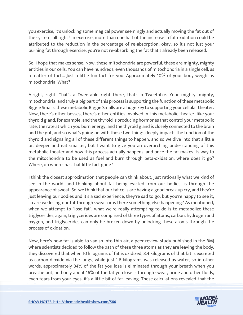you exercise, it's unlocking some magical power seemingly and actually moving the fat out of the system, all right? In exercise, more than one half of the increase in fat oxidation could be attributed to the reduction in the percentage of re-absorption, okay, so it's not just your burning fat through exercise, you're not re-absorbing the fat that's already been released.

So, I hope that makes sense. Now, these mitochondria are powerful, these are mighty, mighty entities in our cells. You can have hundreds, even thousands of mitochondria in a single cell, as a matter of fact... Just a little fun fact for you. Approximately 10% of your body weight is mitochondria. What?

Alright, right. That's a Tweetable right there, that's a Tweetable. Your mighty, mighty, mitochondria, and truly a big part of this process is supporting the function of these metabolic Biggie Smalls, these metabolic Biggie Smalls are a huge key to supporting your cellular theater. Now, there's other bosses, there's other entities involved in this metabolic theater, like your thyroid gland, for example, and the thyroid is producing hormones that control your metabolic rate, the rate at which you burn energy, and the thyroid gland is closely connected to the brain and the gut, and so what's going on with those two things deeply impacts the function of the thyroid and signaling all of these different things to happen, and so we dive into that a little bit deeper and eat smarter, but I want to give you an overarching understanding of this metabolic theater and how this process actually happens, and once the fat makes its way to the mitochondria to be used as fuel and burn through beta-oxidation, where does it go? Where, oh where, has that little fact gone?

I think the closest approximation that people can think about, just rationally what we kind of see in the world, and thinking about fat being evicted from our bodies, is through the appearance of sweat. So, we think that our fat cells are having a good break up cry, and they're just leaving our bodies and it's a sad experience, they're sad to go, but you're happy to see it, so are we losing our fat through sweat or is there something else happening? As mentioned, when we attempt to "lose fat", what we're really attempting to do is to metabolize these triglycerides, again, triglycerides are comprised of three types of atoms, carbon, hydrogen and oxygen, and triglycerides can only be broken down by unlocking these atoms through the process of oxidation.

Now, here's how fat is able to vanish into thin air, a peer review study published in the BMJ where scientists decided to follow the path of these three atoms as they are leaving the body, they discovered that when 10 kilograms of fat is oxidized, 8.4 kilograms of that fat is excreted as carbon dioxide via the lungs, while just 1.6 kilograms was released as water, so in other words, approximately 84% of the fat you lose is eliminated through your breath when you breathe out, and only about 16% of the fat you lose is through sweat, urine and other fluids, [even tears from your eyes, it](https://themodelhealthshow.com/science-of-body-fat/)'[s a little bit of fat leaving. These calculations revealed that the](https://themodelhealthshow.com/science-of-body-fat/)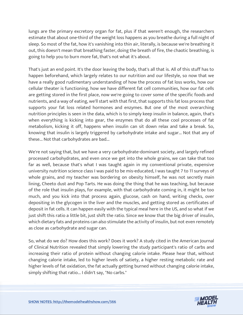lungs are the primary excretory organ for fat, plus if that weren't enough, the researchers estimate that about one-third of the weight loss happens as you breathe during a full night of sleep. So most of the fat, how it's vanishing into thin air, literally, is because we're breathing it out, this doesn't mean that breathing faster, doing the breath of fire, the chaotic breathing, is going to help you to burn more fat, that's not what it's about.

That's just an end point. It's the door leaving the body, that's all that is. All of this stuff has to happen beforehand, which largely relates to our nutrition and our lifestyle, so now that we have a really good rudimentary understanding of how the process of fat loss works, how our cellular theater is functioning, how we have different fat cell communities, how our fat cells are getting stored in the first place, now we're going to cover some of the specific foods and nutrients, and a way of eating, we'll start with that first, that supports this fat loss process that supports your fat loss related hormones and enzymes. But one of the most overarching nutrition principles is seen in the data, which is to simply keep insulin in balance, again, that's when everything is kicking into gear, the enzymes that do all these cool processes of fat metabolism, kicking it off, happens when insulin can sit down relax and take a break. So, knowing that insulin is largely triggered by carbohydrate intake and sugar... Not that any of these... Not that carbohydrates are bad...

We're not saying that, but we have a very carbohydrate-dominant society, and largely refined processed carbohydrates, and even once we get into the whole grains, we can take that too far as well, because that's what I was taught again in my conventional private, expensive university nutrition science class I was paid to be mis-educated, I was taught 7 to 11 surveys of whole grains, and my teacher was bordering on obesity himself, he was not secretly main lining, Cheeto dust and Pop Tarts. He was doing the thing that he was teaching, but because of the role that insulin plays, for example, with that carbohydrate coming in, it might be too much, and you kick into that process again, glucose, cash on hand, writing checks, over depositing in the glycogen in the liver and the muscles, and getting stored as certificates of deposit in fat cells. It can happen easily with the typical meal here in the US, and so what if we just shift this ratio a little bit, just shift the ratio. Since we know that the big driver of insulin, which dietary fats and proteins can also stimulate the activity of insulin, but not even remotely as close as carbohydrate and sugar can.

So, what do we do? How does this work? Does it work? A study cited in the American Journal of Clinical Nutrition revealed that simply lowering the study participant's ratio of carbs and increasing their ratio of protein without changing calorie intake. Please hear that, without changing calorie intake, led to higher levels of satiety, a higher resting metabolic rate and higher levels of fat oxidation, the fat actually getting burned without changing calorie intake, simply shifting that ratio... I didn't say, "No carbs."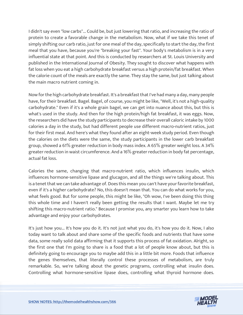I didn't say even "low carbs"... Could be, but just lowering that ratio, and increasing the ratio of protein to create a favorable change in the metabolism. Now, what if we take this tenet of simply shifting our carb ratio, just for one meal of the day, specifically to start the day, the first meal that you have, because you're "breaking your fast". Your body's metabolism is in a very influential state at that point. And this is conducted by researchers at St. Louis University and published in the International Journal of Obesity. They sought to discover what happens with fat loss when you eat a high carbohydrate breakfast versus a high protein/fat breakfast. When the calorie count of the meals are exactly the same. They stay the same, but just talking about the main macro nutrient coming in.

Now for the high carbohydrate breakfast. It's a breakfast that I've had many a day, many people have, for their breakfast. Bagel. Bagel, of course, you might be like, "Well, it's not a high-quality carbohydrate." Even if it's a whole grain bagel, we can get into nuance about this, but this is what's used in the study. And then for the high protein/high fat breakfast, it was eggs. Now, the researchers did have the study participants to decrease their overall caloric intake by 1000 calories a day in the study, but had different people use different macro-nutrient ratios, just for their first meal. And here's what they found after an eight-week study period. Even though the calories on the diets were the same, the study participants in the lower carb breakfast group, showed a 61% greater reduction in body mass index. A 65% greater weight loss. A 34% greater reduction in waist circumference. And a 16% greater reduction in body fat percentage, actual fat loss.

Calories the same, changing that macro-nutrient ratio, which influences insulin, which influences hormone-sensitive lipase and glucagon, and all the things we're talking about. This is a tenet that we can take advantage of. Does this mean you can't have your favorite breakfast, even if it's a higher carbohydrate? No, this doesn't mean that. You can do what works for you, what feels good. But for some people, this might be like, "Oh wow, I've been doing this thing this whole time and I haven't really been getting the results that I want. Maybe let me try shifting this macro-nutrient ratio." Because I promise you, any smarter you learn how to take advantage and enjoy your carbohydrates.

It's just how you... It's how you do it. It's not just what you do, it's how you do it. Now, I also today want to talk about and share some of the specific foods and nutrients that have some data, some really solid data affirming that it supports this process of fat oxidation. Alright, so the first one that I'm going to share is a food that a lot of people know about, but this is definitely going to encourage you to maybe add this in a little bit more. Foods that influence the genes themselves, that literally control these processes of metabolism, are truly remarkable. So, we're talking about the genetic programs, controlling what insulin does. Controlling what hormone-sensitive lipase does, controlling what thyroid hormone does.

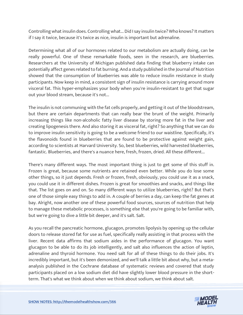Controlling what insulin does. Controlling what... Did I say insulin twice? Who knows? It matters if I say it twice, because it's twice as nice, insulin is important but adrenaline.

Determining what all of our hormones related to our metabolism are actually doing, can be really powerful. One of these remarkable foods, seen in the research, are blueberries. Researchers at the University of Michigan published data finding that blueberry intake can potentially affect genes related to fat burning. And a study published in the Journal of Nutrition showed that the consumption of blueberries was able to reduce insulin resistance in study participants. Now keep in mind, a consistent sign of insulin resistance is carrying around more visceral fat. This hyper-emphasizes your body when you're insulin-resistant to get that sugar out your blood stream, because it's not...

The insulin is not communing with the fat cells properly, and getting it out of the bloodstream, but there are certain departments that can really bear the brunt of the weight. Primarily increasing things like non-alcoholic fatty liver disease by storing more fat in the liver and creating lipogenesis there. And also storing it as visceral fat, right? So anything that we can do to improve insulin sensitivity is going to be a welcome friend to our waistline. Specifically, it's the flavonoids found in blueberries that are found to be protective against weight gain, according to scientists at Harvard University. So, best blueberries, wild harvested blueberries, fantastic. Blueberries, and there's a nuance here, fresh, frozen, dried. All these different...

There's many different ways. The most important thing is just to get some of this stuff in. Frozen is great, because some nutrients are retained even better. While you do lose some other things, so it just depends. Fresh or frozen, fresh, obviously, you could use it as a snack, you could use it in different dishes. Frozen is great for smoothies and snacks, and things like that. The list goes on and on. So many different ways to utilize blueberries, right? But that's one of those simple easy things to add in. A couple of berries a day, can keep the fat genes at bay. Alright, now another one of these powerful food sources, sources of nutrition that help to manage these metabolic processes, is something else that you're going to be familiar with, but we're going to dive a little bit deeper, and it's salt. Salt.

As you recall the pancreatic hormone, glucagon, promotes lipolysis by opening up the cellular doors to release stored fat for use as fuel, specifically really assisting in that process with the liver. Recent data affirms that sodium aides in the performance of glucagon. You want glucagon to be able to do its job intelligently, and salt also influences the action of leptin, adrenaline and thyroid hormone. You need salt for all of these things to do their jobs. It's incredibly important, but it's been demonized, and we'll talk a little bit about why, but a metaanalysis published in the Cochrane database of systematic reviews and covered that study participants placed on a low sodium diet did have slightly lower blood pressure in the short[term. That](https://themodelhealthshow.com/science-of-body-fat/)'[s what we think about when we think about sodium, we think about salt.](https://themodelhealthshow.com/science-of-body-fat/)

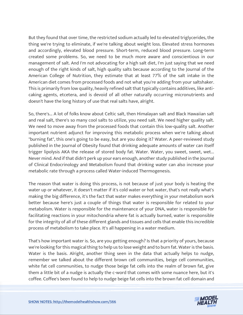But they found that over time, the restricted sodium actually led to elevated triglycerides, the thing we're trying to eliminate, if we're talking about weight loss. Elevated stress hormones and accordingly, elevated blood pressure. Short-term, reduced blood pressure. Long-term created some problems. So, we need to be much more aware and conscientious in our management of salt. And I'm not advocating for a high salt diet, I'm just saying that we need enough of the right kinds of salt, high quality salts because according to the Journal of the American College of Nutrition, they estimate that at least 77% of the salt intake in the American diet comes from processed foods and not what you're adding from your saltshaker. This is primarily from low quality, heavily refined salt that typically contains additives, like anticaking agents, etcetera, and is devoid of all other naturally occurring micronutrients and doesn't have the long history of use that real salts have, alright.

So, there's... A lot of folks know about Celtic salt, then Himalayan salt and Black Hawaiian salt and real salt, there's so many cool salts to utilize, you need salt. We need higher quality salt. We need to move away from the processed foods that contain this low-quality salt. Another important nutrient adjunct for improving this metabolic process when we're talking about "burning fat", this one's going to be easy, but are you doing it? Water. A peer-reviewed study published in the Journal of Obesity found that drinking adequate amounts of water can itself trigger lipolysis AKA the release of stored body fat. Water. Water, you sweet, sweet, wet... Never mind. And if that didn't perk up your ears enough, another study published in the Journal of Clinical Endocrinology and Metabolism found that drinking water can also increase your metabolic rate through a process called Water-induced Thermogenesis.

The reason that water is doing this process, is not because of just your body is heating the water up or whatever, it doesn't matter if it's cold water or hot water, that's not really what's making the big difference, it's the fact that water makes everything in your metabolism work better because here's just a couple of things that water is responsible for related to your metabolism. Water is responsible for the maintenance of your DNA, water is responsible for facilitating reactions in your mitochondria where fat is actually burned, water is responsible for the integrity of all of these different glands and tissues and cells that enable this incredible process of metabolism to take place. It's all happening in a water medium.

That's how important water is. So, are you getting enough? Is that a priority of yours, because we're looking for this magical thing to help us to lose weight and to burn fat. Water is the basis. Water is the basis. Alright, another thing seen in the data that actually helps to nudge, remember we talked about the different brown cell communities, beige cell communities, white fat cell communities, to nudge those beige fat cells into the realm of brown fat, give them a little bit of a nudge is actually the c-word that comes with some nuance here, but it's coffee. Coffee's been found to help to nudge [beige fat cells into the brown fat cell domain and](https://themodelhealthshow.com/science-of-body-fat/) 

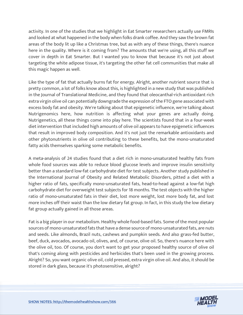activity. In one of the studies that we highlight in Eat Smarter researchers actually use FMRIs and looked at what happened in the body when folks drank coffee. And they saw the brown fat areas of the body lit up like a Christmas tree, but as with any of these things, there's nuance here in the quality. Where is it coming from? The amounts that we're using, all this stuff we cover in depth in Eat Smarter. But I wanted you to know that because it's not just about targeting the white adipose tissue, it's targeting the other fat cell communities that make all this magic happen as well.

Like the type of fat that actually burns fat for energy. Alright, another nutrient source that is pretty common, a lot of folks know about this, is highlighted in a new study that was published in the Journal of Translational Medicine, and they found that oleocanthal-rich antioxidant rich extra virgin olive oil can potentially downgrade the expression of the FTO gene associated with excess body fat and obesity. We're talking about that epigenetic influence, we're talking about Nutrigenomics here, how nutrition is affecting what your genes are actually doing. Nutrigenetics, all these things come into play here. The scientists found that in a four-week diet intervention that included high amounts of olive oil appears to have epigenetic influences that result in improved body composition. And it's not just the remarkable antioxidants and other phytonutrients in olive oil contributing to these benefits, but the mono-unsaturated fatty acids themselves sparking some metabolic benefits.

A meta-analysis of 24 studies found that a diet rich in mono-unsaturated healthy fats from whole food sources was able to reduce blood glucose levels and improve insulin sensitivity better than a standard low-fat carbohydrate diet for test subjects. Another study published in the International Journal of Obesity and Related Metabolic Disorders, pitted a diet with a higher ratio of fats, specifically mono-unsaturated fats, head-to-head against a low-fat high carbohydrate diet for overweight test subjects for 18 months. The test objects with the higher ratio of mono-unsaturated fats in their diet, lost more weight, lost more body fat, and lost more inches off their waist than the low dietary fat group. In fact, in this study the low dietary fat group actually gained in all those areas.

Fat is a big player in our metabolism. Healthy whole food-based fats. Some of the most popular sources of mono-unsaturated fats that have a dense source of mono-unsaturated fats, are nuts and seeds. Like almonds, Brazil nuts, cashews and pumpkin seeds. And also grass-fed butter, beef, duck, avocados, avocado oil, olives, and, of course, olive oil. So, there's nuance here with the olive oil, too. Of course, you don't want to get your proposed healthy source of olive oil that's coming along with pesticides and herbicides that's been used in the growing process. Alright? So, you want organic olive oil, cold pressed, extra virgin olive oil. And also, it should be stored in dark glass, because it's photosensitive, alright?

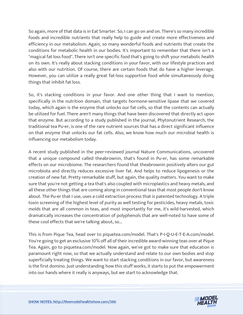So again, more of that data is in Eat Smarter. So, I can go on and on. There's so many incredible foods and incredible nutrients that really help to guide and create more effectiveness and efficiency in our metabolism. Again, so many wonderful foods and nutrients that create the conditions for metabolic health in our bodies. It's important to remember that there isn't a "magical fat loss food". There isn't one specific food that's going to shift your metabolic health on its own. It's really about stacking conditions in your favor, with our lifestyle practices and also with our nutrition. Of course, there are certain foods that do have a higher leverage. However, you can utilize a really great fat-loss supportive food while simultaneously doing things that inhibit fat loss.

So, it's stacking conditions in your favor. And one other thing that I want to mention, specifically in the nutrition domain, that targets hormone-sensitive lipase that we covered today, which again is the enzyme that unlocks our fat cells, so that the contents can actually be utilized for fuel. There aren't many things that have been discovered that directly act upon that enzyme. But according to a study published in the journal, Phytonutrient Research, the traditional tea Pu-er, is one of the rare nutrient sources that has a direct significant influence on that enzyme that unlocks our fat cells. Also, we know how much our microbial health is influencing our metabolism today.

A recent study published in the peer-reviewed journal Nature Communications, uncovered that a unique compound called theabrownin, that's found in Pu-er, has some remarkable effects on our microbiome. The researchers found that theabrownin positively alters our gut microbiota and directly reduces excessive liver fat. And helps to reduce lipogenesis or the creation of new fat. Pretty remarkable stuff, but again, the quality matters. You want to make sure that you're not getting a tea that's also coupled with microplastics and heavy metals, and all these other things that are coming along in conventional teas that most people don't know about. The Pu-er that I use, uses a cold extraction process that is patented technology. A triple toxin screening of the highest level of purity as well testing for pesticides, heavy metals, toxic molds that are all common in teas, and most importantly for me, it's wild-harvested, which dramatically increases the concentration of polyphenols that are well-noted to have some of these cool effects that we're talking about, so...

This is from Pique Tea, head over to piquetea.com/model. That's P-I-Q-U-E-T-E-A.com/model. You're going to get an exclusive 10% off all of their incredible award-winning teas over at Pique Tea. Again, go to piquetea.com/model. Now again, we've got to make sure that education is paramount right now, so that we actually understand and relate to our own bodies and stop superficially treating things. We want to start stacking conditions in our favor, but awareness is the first domino. Just understanding how this stuff works, it starts to put the empowerment into our hands where it really is anyways, but we start to acknowledge that.